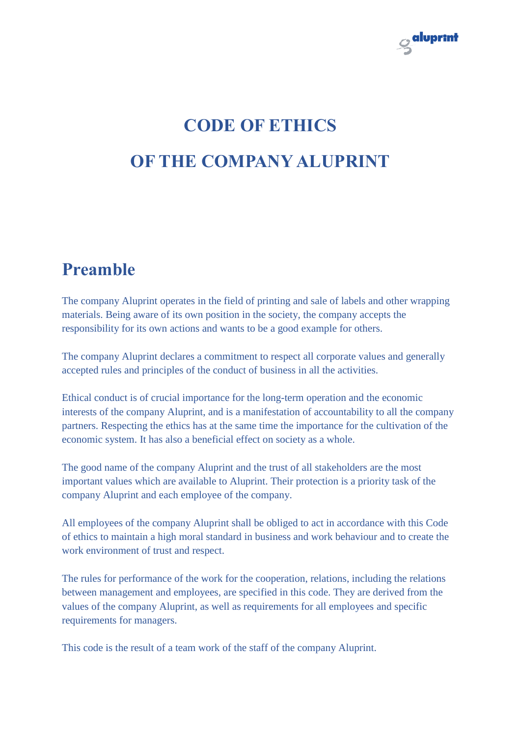

# **CODE OF ETHICS OF THE COMPANY ALUPRINT**

# **Preamble**

The company Aluprint operates in the field of printing and sale of labels and other wrapping materials. Being aware of its own position in the society, the company accepts the responsibility for its own actions and wants to be a good example for others.

The company Aluprint declares a commitment to respect all corporate values and generally accepted rules and principles of the conduct of business in all the activities.

Ethical conduct is of crucial importance for the long-term operation and the economic interests of the company Aluprint, and is a manifestation of accountability to all the company partners. Respecting the ethics has at the same time the importance for the cultivation of the economic system. It has also a beneficial effect on society as a whole.

The good name of the company Aluprint and the trust of all stakeholders are the most important values which are available to Aluprint. Their protection is a priority task of the company Aluprint and each employee of the company.

All employees of the company Aluprint shall be obliged to act in accordance with this Code of ethics to maintain a high moral standard in business and work behaviour and to create the work environment of trust and respect.

The rules for performance of the work for the cooperation, relations, including the relations between management and employees, are specified in this code. They are derived from the values of the company Aluprint, as well as requirements for all employees and specific requirements for managers.

This code is the result of a team work of the staff of the company Aluprint.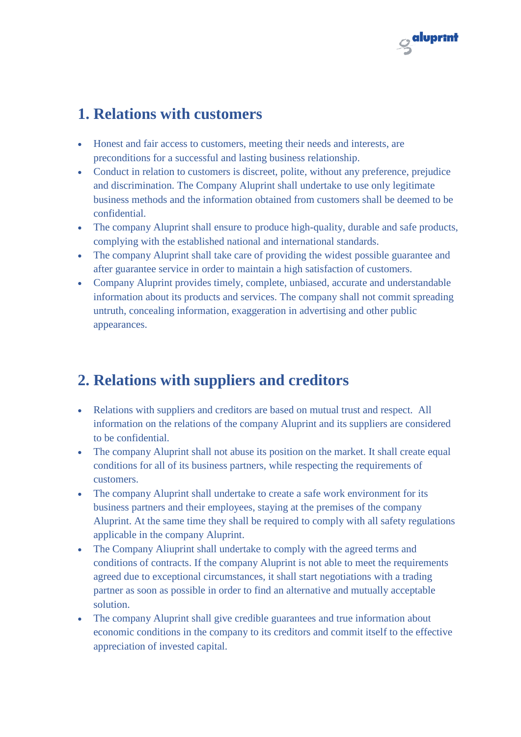

### **1. Relations with customers**

- Honest and fair access to customers, meeting their needs and interests, are preconditions for a successful and lasting business relationship.
- Conduct in relation to customers is discreet, polite, without any preference, prejudice and discrimination. The Company Aluprint shall undertake to use only legitimate business methods and the information obtained from customers shall be deemed to be confidential.
- The company Aluprint shall ensure to produce high-quality, durable and safe products, complying with the established national and international standards.
- The company Aluprint shall take care of providing the widest possible guarantee and after guarantee service in order to maintain a high satisfaction of customers.
- Company Aluprint provides timely, complete, unbiased, accurate and understandable information about its products and services. The company shall not commit spreading untruth, concealing information, exaggeration in advertising and other public appearances.

# **2. Relations with suppliers and creditors**

- Relations with suppliers and creditors are based on mutual trust and respect. All information on the relations of the company Aluprint and its suppliers are considered to be confidential.
- The company Aluprint shall not abuse its position on the market. It shall create equal conditions for all of its business partners, while respecting the requirements of customers.
- The company Aluprint shall undertake to create a safe work environment for its business partners and their employees, staying at the premises of the company Aluprint. At the same time they shall be required to comply with all safety regulations applicable in the company Aluprint.
- The Company Aliuprint shall undertake to comply with the agreed terms and conditions of contracts. If the company Aluprint is not able to meet the requirements agreed due to exceptional circumstances, it shall start negotiations with a trading partner as soon as possible in order to find an alternative and mutually acceptable solution.
- The company Aluprint shall give credible guarantees and true information about economic conditions in the company to its creditors and commit itself to the effective appreciation of invested capital.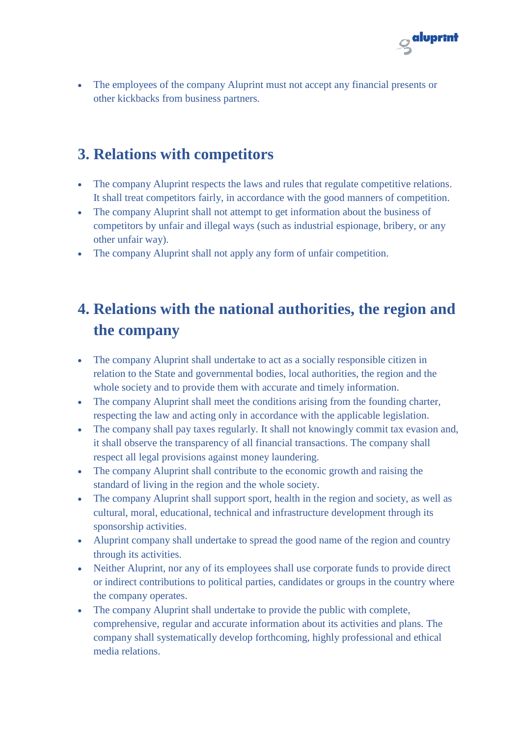

 The employees of the company Aluprint must not accept any financial presents or other kickbacks from business partners.

# **3. Relations with competitors**

- The company Aluprint respects the laws and rules that regulate competitive relations. It shall treat competitors fairly, in accordance with the good manners of competition.
- The company Aluprint shall not attempt to get information about the business of competitors by unfair and illegal ways (such as industrial espionage, bribery, or any other unfair way).
- The company Aluprint shall not apply any form of unfair competition.

# **4. Relations with the national authorities, the region and the company**

- The company Aluprint shall undertake to act as a socially responsible citizen in relation to the State and governmental bodies, local authorities, the region and the whole society and to provide them with accurate and timely information.
- The company Aluprint shall meet the conditions arising from the founding charter, respecting the law and acting only in accordance with the applicable legislation.
- The company shall pay taxes regularly. It shall not knowingly commit tax evasion and, it shall observe the transparency of all financial transactions. The company shall respect all legal provisions against money laundering.
- The company Aluprint shall contribute to the economic growth and raising the standard of living in the region and the whole society.
- The company Aluprint shall support sport, health in the region and society, as well as cultural, moral, educational, technical and infrastructure development through its sponsorship activities.
- Aluprint company shall undertake to spread the good name of the region and country through its activities.
- Neither Aluprint, nor any of its employees shall use corporate funds to provide direct or indirect contributions to political parties, candidates or groups in the country where the company operates.
- The company Aluprint shall undertake to provide the public with complete, comprehensive, regular and accurate information about its activities and plans. The company shall systematically develop forthcoming, highly professional and ethical media relations.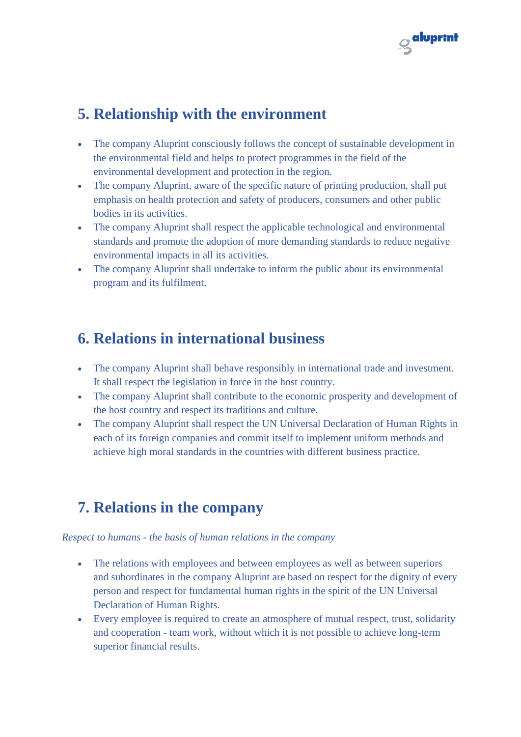

# **5. Relationship with the environment**

- The company Aluprint consciously follows the concept of sustainable development in the environmental field and helps to protect programmes in the field of the environmental development and protection in the region.
- The company Aluprint, aware of the specific nature of printing production, shall put emphasis on health protection and safety of producers, consumers and other public bodies in its activities.
- The company Aluprint shall respect the applicable technological and environmental standards and promote the adoption of more demanding standards to reduce negative environmental impacts in all its activities.
- The company Aluprint shall undertake to inform the public about its environmental program and its fulfilment.

### **6. Relations in international business**

- The company Aluprint shall behave responsibly in international trade and investment. It shall respect the legislation in force in the host country.
- The company Aluprint shall contribute to the economic prosperity and development of the host country and respect its traditions and culture.
- The company Aluprint shall respect the UN Universal Declaration of Human Rights in each of its foreign companies and commit itself to implement uniform methods and achieve high moral standards in the countries with different business practice.

# **7. Relations in the company**

#### *Respect to humans - the basis of human relations in the company*

- The relations with employees and between employees as well as between superiors and subordinates in the company Aluprint are based on respect for the dignity of every person and respect for fundamental human rights in the spirit of the UN Universal Declaration of Human Rights.
- Every employee is required to create an atmosphere of mutual respect, trust, solidarity and cooperation - team work, without which it is not possible to achieve long-term superior financial results.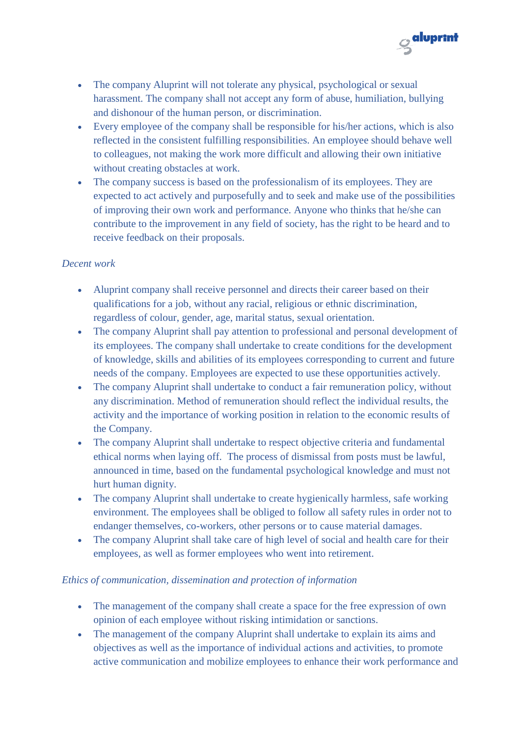

- The company Aluprint will not tolerate any physical, psychological or sexual harassment. The company shall not accept any form of abuse, humiliation, bullying and dishonour of the human person, or discrimination.
- Every employee of the company shall be responsible for his/her actions, which is also reflected in the consistent fulfilling responsibilities. An employee should behave well to colleagues, not making the work more difficult and allowing their own initiative without creating obstacles at work.
- The company success is based on the professionalism of its employees. They are expected to act actively and purposefully and to seek and make use of the possibilities of improving their own work and performance. Anyone who thinks that he/she can contribute to the improvement in any field of society, has the right to be heard and to receive feedback on their proposals.

#### *Decent work*

- Aluprint company shall receive personnel and directs their career based on their qualifications for a job, without any racial, religious or ethnic discrimination, regardless of colour, gender, age, marital status, sexual orientation.
- The company Aluprint shall pay attention to professional and personal development of its employees. The company shall undertake to create conditions for the development of knowledge, skills and abilities of its employees corresponding to current and future needs of the company. Employees are expected to use these opportunities actively.
- The company Aluprint shall undertake to conduct a fair remuneration policy, without any discrimination. Method of remuneration should reflect the individual results, the activity and the importance of working position in relation to the economic results of the Company.
- The company Aluprint shall undertake to respect objective criteria and fundamental ethical norms when laying off. The process of dismissal from posts must be lawful, announced in time, based on the fundamental psychological knowledge and must not hurt human dignity.
- The company Aluprint shall undertake to create hygienically harmless, safe working environment. The employees shall be obliged to follow all safety rules in order not to endanger themselves, co-workers, other persons or to cause material damages.
- The company Aluprint shall take care of high level of social and health care for their employees, as well as former employees who went into retirement.

#### *Ethics of communication, dissemination and protection of information*

- The management of the company shall create a space for the free expression of own opinion of each employee without risking intimidation or sanctions.
- The management of the company Aluprint shall undertake to explain its aims and objectives as well as the importance of individual actions and activities, to promote active communication and mobilize employees to enhance their work performance and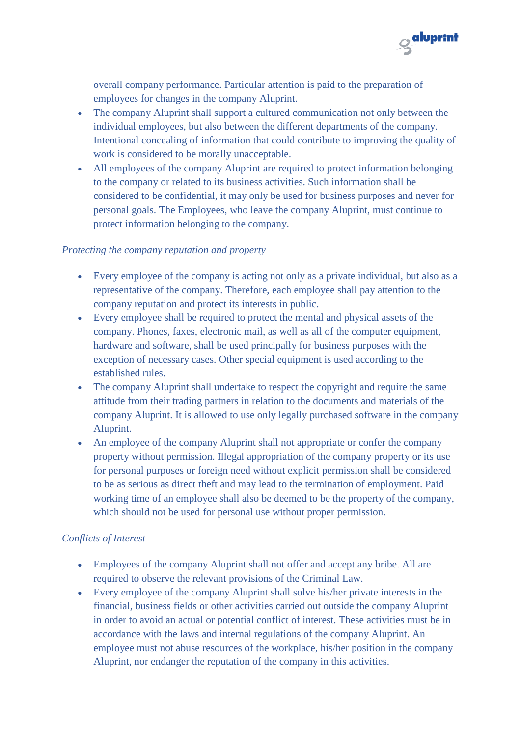

overall company performance. Particular attention is paid to the preparation of employees for changes in the company Aluprint.

- The company Aluprint shall support a cultured communication not only between the individual employees, but also between the different departments of the company. Intentional concealing of information that could contribute to improving the quality of work is considered to be morally unacceptable.
- All employees of the company Aluprint are required to protect information belonging to the company or related to its business activities. Such information shall be considered to be confidential, it may only be used for business purposes and never for personal goals. The Employees, who leave the company Aluprint, must continue to protect information belonging to the company.

#### *Protecting the company reputation and property*

- Every employee of the company is acting not only as a private individual, but also as a representative of the company. Therefore, each employee shall pay attention to the company reputation and protect its interests in public.
- Every employee shall be required to protect the mental and physical assets of the company. Phones, faxes, electronic mail, as well as all of the computer equipment, hardware and software, shall be used principally for business purposes with the exception of necessary cases. Other special equipment is used according to the established rules.
- The company Aluprint shall undertake to respect the copyright and require the same attitude from their trading partners in relation to the documents and materials of the company Aluprint. It is allowed to use only legally purchased software in the company Aluprint.
- An employee of the company Aluprint shall not appropriate or confer the company property without permission. Illegal appropriation of the company property or its use for personal purposes or foreign need without explicit permission shall be considered to be as serious as direct theft and may lead to the termination of employment. Paid working time of an employee shall also be deemed to be the property of the company, which should not be used for personal use without proper permission.

#### *Conflicts of Interest*

- Employees of the company Aluprint shall not offer and accept any bribe. All are required to observe the relevant provisions of the Criminal Law.
- Every employee of the company Aluprint shall solve his/her private interests in the financial, business fields or other activities carried out outside the company Aluprint in order to avoid an actual or potential conflict of interest. These activities must be in accordance with the laws and internal regulations of the company Aluprint. An employee must not abuse resources of the workplace, his/her position in the company Aluprint, nor endanger the reputation of the company in this activities.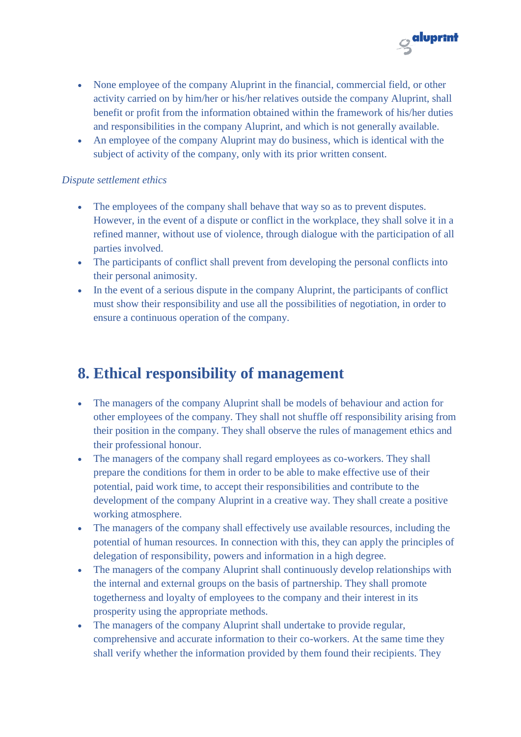

- None employee of the company Aluprint in the financial, commercial field, or other activity carried on by him/her or his/her relatives outside the company Aluprint, shall benefit or profit from the information obtained within the framework of his/her duties and responsibilities in the company Aluprint, and which is not generally available.
- An employee of the company Aluprint may do business, which is identical with the subject of activity of the company, only with its prior written consent.

#### *Dispute settlement ethics*

- The employees of the company shall behave that way so as to prevent disputes. However, in the event of a dispute or conflict in the workplace, they shall solve it in a refined manner, without use of violence, through dialogue with the participation of all parties involved.
- The participants of conflict shall prevent from developing the personal conflicts into their personal animosity.
- In the event of a serious dispute in the company Aluprint, the participants of conflict must show their responsibility and use all the possibilities of negotiation, in order to ensure a continuous operation of the company.

# **8. Ethical responsibility of management**

- The managers of the company Aluprint shall be models of behaviour and action for other employees of the company. They shall not shuffle off responsibility arising from their position in the company. They shall observe the rules of management ethics and their professional honour.
- The managers of the company shall regard employees as co-workers. They shall prepare the conditions for them in order to be able to make effective use of their potential, paid work time, to accept their responsibilities and contribute to the development of the company Aluprint in a creative way. They shall create a positive working atmosphere.
- The managers of the company shall effectively use available resources, including the potential of human resources. In connection with this, they can apply the principles of delegation of responsibility, powers and information in a high degree.
- The managers of the company Aluprint shall continuously develop relationships with the internal and external groups on the basis of partnership. They shall promote togetherness and loyalty of employees to the company and their interest in its prosperity using the appropriate methods.
- The managers of the company Aluprint shall undertake to provide regular, comprehensive and accurate information to their co-workers. At the same time they shall verify whether the information provided by them found their recipients. They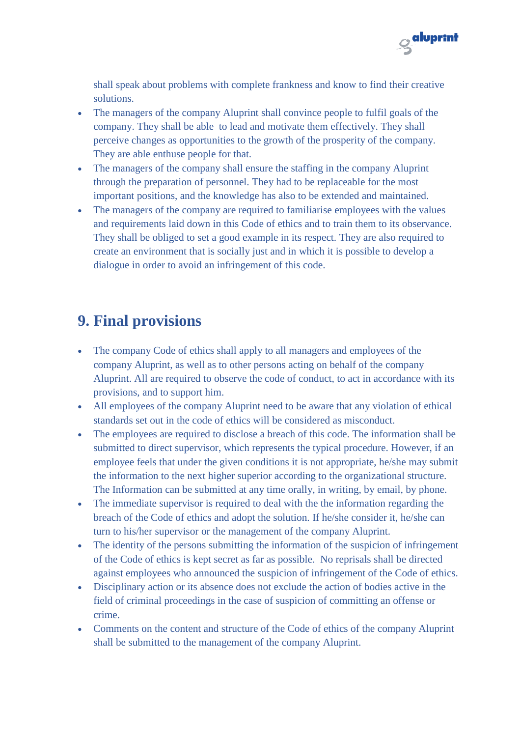

shall speak about problems with complete frankness and know to find their creative solutions.

- The managers of the company Aluprint shall convince people to fulfil goals of the company. They shall be able to lead and motivate them effectively. They shall perceive changes as opportunities to the growth of the prosperity of the company. They are able enthuse people for that.
- The managers of the company shall ensure the staffing in the company Aluprint through the preparation of personnel. They had to be replaceable for the most important positions, and the knowledge has also to be extended and maintained.
- The managers of the company are required to familiarise employees with the values and requirements laid down in this Code of ethics and to train them to its observance. They shall be obliged to set a good example in its respect. They are also required to create an environment that is socially just and in which it is possible to develop a dialogue in order to avoid an infringement of this code.

# **9. Final provisions**

- The company Code of ethics shall apply to all managers and employees of the company Aluprint, as well as to other persons acting on behalf of the company Aluprint. All are required to observe the code of conduct, to act in accordance with its provisions, and to support him.
- All employees of the company Aluprint need to be aware that any violation of ethical standards set out in the code of ethics will be considered as misconduct.
- The employees are required to disclose a breach of this code. The information shall be submitted to direct supervisor, which represents the typical procedure. However, if an employee feels that under the given conditions it is not appropriate, he/she may submit the information to the next higher superior according to the organizational structure. The Information can be submitted at any time orally, in writing, by email, by phone.
- The immediate supervisor is required to deal with the the information regarding the breach of the Code of ethics and adopt the solution. If he/she consider it, he/she can turn to his/her supervisor or the management of the company Aluprint.
- The identity of the persons submitting the information of the suspicion of infringement of the Code of ethics is kept secret as far as possible. No reprisals shall be directed against employees who announced the suspicion of infringement of the Code of ethics.
- Disciplinary action or its absence does not exclude the action of bodies active in the field of criminal proceedings in the case of suspicion of committing an offense or crime.
- Comments on the content and structure of the Code of ethics of the company Aluprint shall be submitted to the management of the company Aluprint.